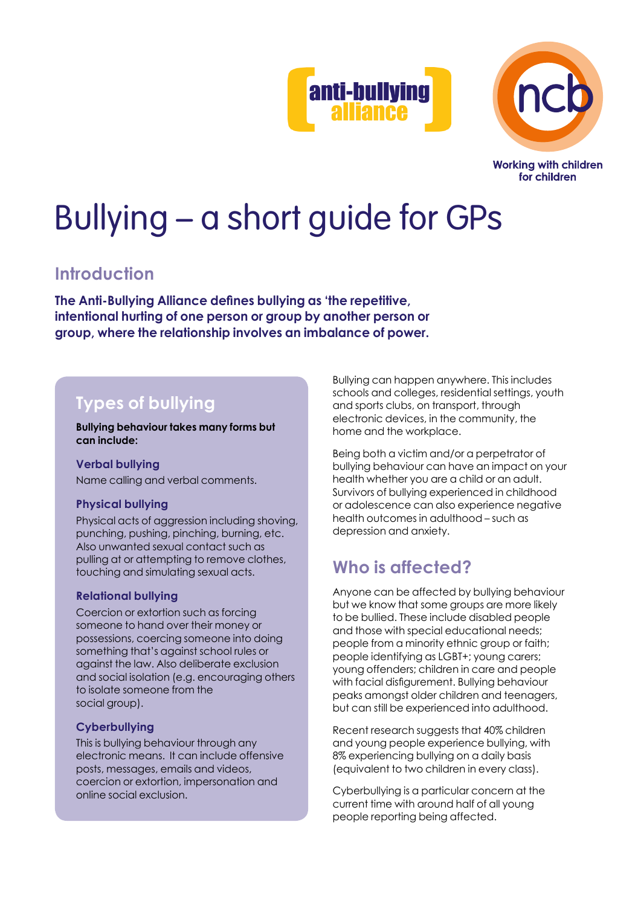



**Working with children** for children

# Bullying – a short guide for GPs

# **Introduction**

**The Anti-Bullying Alliance defines bullying as 'the repetitive, intentional hurting of one person or group by another person or group, where the relationship involves an imbalance of power.**

# **Types of bullying**

**Bullying behaviour takes many forms but can include:**

## **Verbal bullying**

Name calling and verbal comments.

## **Physical bullying**

Physical acts of aggression including shoving, punching, pushing, pinching, burning, etc. Also unwanted sexual contact such as pulling at or attempting to remove clothes, touching and simulating sexual acts.

## **Relational bullying**

Coercion or extortion such as forcing someone to hand over their money or possessions, coercing someone into doing something that's against school rules or against the law. Also deliberate exclusion and social isolation (e.g. encouraging others to isolate someone from the social group).

## **Cyberbullying**

This is bullying behaviour through any electronic means. It can include offensive posts, messages, emails and videos, coercion or extortion, impersonation and online social exclusion.

Bullying can happen anywhere. This includes schools and colleges, residential settings, youth and sports clubs, on transport, through electronic devices, in the community, the home and the workplace.

Being both a victim and/or a perpetrator of bullying behaviour can have an impact on your health whether you are a child or an adult. Survivors of bullying experienced in childhood or adolescence can also experience negative health outcomes in adulthood – such as depression and anxiety.

# **Who is affected?**

Anyone can be affected by bullying behaviour but we know that some groups are more likely to be bullied. These include disabled people and those with special educational needs; people from a minority ethnic group or faith; people identifying as LGBT+; young carers; young offenders; children in care and people with facial disfigurement. Bullying behaviour peaks amongst older children and teenagers, but can still be experienced into adulthood.

Recent research suggests that 40% children and young people experience bullying, with 8% experiencing bullying on a daily basis (equivalent to two children in every class).

Cyberbullying is a particular concern at the current time with around half of all young people reporting being affected.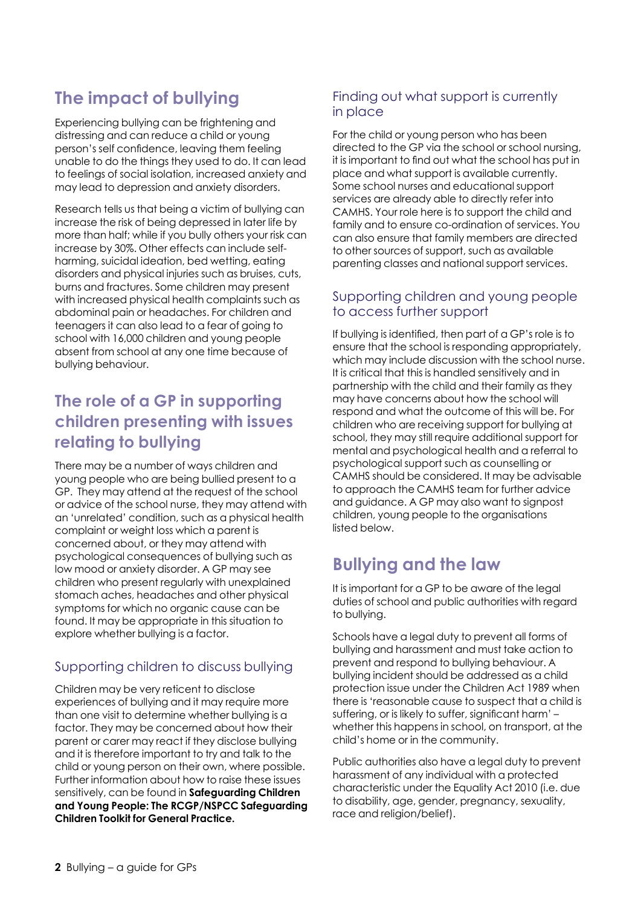# **The impact of bullying**

Experiencing bullying can be frightening and distressing and can reduce a child or young person's self confidence, leaving them feeling unable to do the things they used to do. It can lead to feelings of social isolation, increased anxiety and may lead to depression and anxiety disorders.

Research tells us that being a victim of bullying can increase the risk of being depressed in later life by more than half; while if you bully others your risk can increase by 30%. Other effects can include selfharming, suicidal ideation, bed wetting, eating disorders and physical injuries such as bruises, cuts, burns and fractures. Some children may present with increased physical health complaints such as abdominal pain or headaches. For children and teenagers it can also lead to a fear of going to school with 16,000 children and young people absent from school at any one time because of bullying behaviour.

# **The role of a GP in supporting children presenting with issues relating to bullying**

There may be a number of ways children and young people who are being bullied present to a GP. They may attend at the request of the school or advice of the school nurse, they may attend with an 'unrelated' condition, such as a physical health complaint or weight loss which a parent is concerned about, or they may attend with psychological consequences of bullying such as low mood or anxiety disorder. A GP may see children who present regularly with unexplained stomach aches, headaches and other physical symptoms for which no organic cause can be found. It may be appropriate in this situation to explore whether bullying is a factor.

## Supporting children to discuss bullying

Children may be very reticent to disclose experiences of bullying and it may require more than one visit to determine whether bullying is a factor. They may be concerned about how their parent or carer may react if they disclose bullying and it is therefore important to try and talk to the child or young person on their own, where possible. Further information about how to raise these issues sensitively, can be found in **Safeguarding Children and Young People: The RCGP/NSPCC Safeguarding Children Toolkit for General Practice.**

## Finding out what support is currently in place

For the child or young person who has been directed to the GP via the school or school nursing, it is important to find out what the school has put in place and what support is available currently. Some school nurses and educational support services are already able to directly refer into CAMHS. Your role here is to support the child and family and to ensure co-ordination of services. You can also ensure that family members are directed to other sources of support, such as available parenting classes and national support services.

## Supporting children and young people to access further support

If bullying is identified, then part of a GP's role is to ensure that the school is responding appropriately, which may include discussion with the school nurse. It is critical that this is handled sensitively and in partnership with the child and their family as they may have concerns about how the school will respond and what the outcome of this will be. For children who are receiving support for bullying at school, they may still require additional support for mental and psychological health and a referral to psychological support such as counselling or CAMHS should be considered. It may be advisable to approach the CAMHS team for further advice and guidance. A GP may also want to signpost children, young people to the organisations listed below.

# **Bullying and the law**

It is important for a GP to be aware of the legal duties of school and public authorities with regard to bullying.

Schools have a legal duty to prevent all forms of bullying and harassment and must take action to prevent and respond to bullying behaviour. A bullying incident should be addressed as a child protection issue under the Children Act 1989 when there is 'reasonable cause to suspect that a child is suffering, or is likely to suffer, significant harm' – whether this happens in school, on transport, at the child's home or in the community.

Public authorities also have a legal duty to prevent harassment of any individual with a protected characteristic under the Equality Act 2010 (i.e. due to disability, age, gender, pregnancy, sexuality, race and religion/belief).